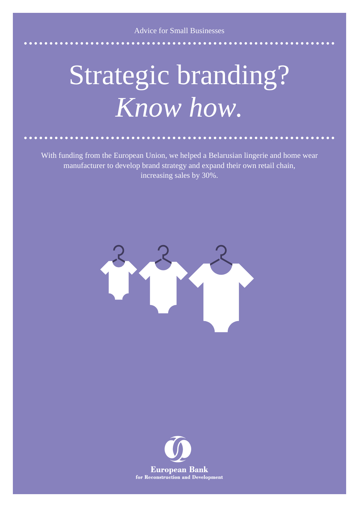Advice for Small Businesses

## Strategic branding? *Know how.*

With funding from the European Union, we helped a Belarusian lingerie and home wear manufacturer to develop brand strategy and expand their own retail chain, increasing sales by 30%.